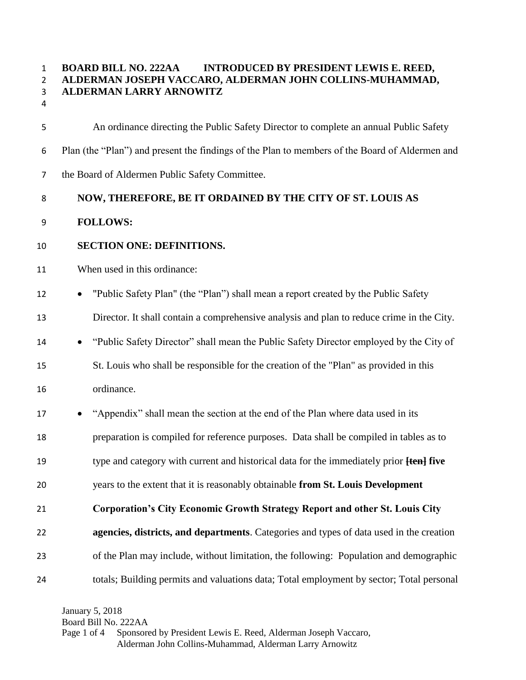# **BOARD BILL NO. 222AA INTRODUCED BY PRESIDENT LEWIS E. REED, ALDERMAN JOSEPH VACCARO, ALDERMAN JOHN COLLINS-MUHAMMAD, ALDERMAN LARRY ARNOWITZ**

 An ordinance directing the Public Safety Director to complete an annual Public Safety Plan (the "Plan") and present the findings of the Plan to members of the Board of Aldermen and the Board of Aldermen Public Safety Committee.

#### **NOW, THEREFORE, BE IT ORDAINED BY THE CITY OF ST. LOUIS AS**

# **FOLLOWS:**

# **SECTION ONE: DEFINITIONS.**

#### When used in this ordinance:

12 • "Public Safety Plan" (the "Plan") shall mean a report created by the Public Safety

Director. It shall contain a comprehensive analysis and plan to reduce crime in the City.

"Public Safety Director" shall mean the Public Safety Director employed by the City of

 St. Louis who shall be responsible for the creation of the "Plan" as provided in this ordinance.

17 • "Appendix" shall mean the section at the end of the Plan where data used in its

preparation is compiled for reference purposes. Data shall be compiled in tables as to

type and category with current and historical data for the immediately prior **[ten] five** 

years to the extent that it is reasonably obtainable **from St. Louis Development** 

# **Corporation's City Economic Growth Strategy Report and other St. Louis City**

 **agencies, districts, and departments**. Categories and types of data used in the creation of the Plan may include, without limitation, the following: Population and demographic totals; Building permits and valuations data; Total employment by sector; Total personal

January 5, 2018 Board Bill No. 222AA Page 1 of 4 Sponsored by President Lewis E. Reed, Alderman Joseph Vaccaro, Alderman John Collins-Muhammad, Alderman Larry Arnowitz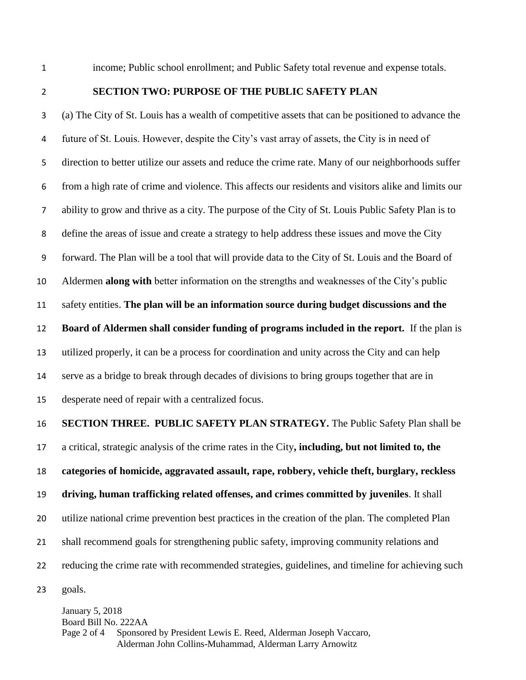income; Public school enrollment; and Public Safety total revenue and expense totals.

#### **SECTION TWO: PURPOSE OF THE PUBLIC SAFETY PLAN**

 (a) The City of St. Louis has a wealth of competitive assets that can be positioned to advance the future of St. Louis. However, despite the City's vast array of assets, the City is in need of direction to better utilize our assets and reduce the crime rate. Many of our neighborhoods suffer from a high rate of crime and violence. This affects our residents and visitors alike and limits our ability to grow and thrive as a city. The purpose of the City of St. Louis Public Safety Plan is to define the areas of issue and create a strategy to help address these issues and move the City forward. The Plan will be a tool that will provide data to the City of St. Louis and the Board of Aldermen **along with** better information on the strengths and weaknesses of the City's public safety entities. **The plan will be an information source during budget discussions and the Board of Aldermen shall consider funding of programs included in the report.** If the plan is utilized properly, it can be a process for coordination and unity across the City and can help serve as a bridge to break through decades of divisions to bring groups together that are in desperate need of repair with a centralized focus.

 **SECTION THREE. PUBLIC SAFETY PLAN STRATEGY.** The Public Safety Plan shall be a critical, strategic analysis of the crime rates in the City**, including, but not limited to, the categories of homicide, aggravated assault, rape, robbery, vehicle theft, burglary, reckless driving, human trafficking related offenses, and crimes committed by juveniles**. It shall utilize national crime prevention best practices in the creation of the plan. The completed Plan shall recommend goals for strengthening public safety, improving community relations and reducing the crime rate with recommended strategies, guidelines, and timeline for achieving such goals.

January 5, 2018 Board Bill No. 222AA Page 2 of 4 Sponsored by President Lewis E. Reed, Alderman Joseph Vaccaro, Alderman John Collins-Muhammad, Alderman Larry Arnowitz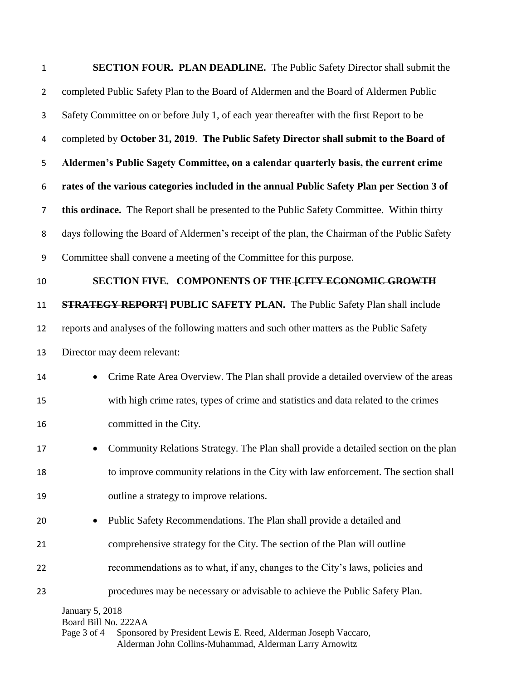| $\mathbf{1}$     | <b>SECTION FOUR. PLAN DEADLINE.</b> The Public Safety Director shall submit the                |  |
|------------------|------------------------------------------------------------------------------------------------|--|
| $\overline{2}$   | completed Public Safety Plan to the Board of Aldermen and the Board of Aldermen Public         |  |
| 3                | Safety Committee on or before July 1, of each year thereafter with the first Report to be      |  |
| 4                | completed by October 31, 2019. The Public Safety Director shall submit to the Board of         |  |
| 5                | Aldermen's Public Sagety Committee, on a calendar quarterly basis, the current crime           |  |
| 6                | rates of the various categories included in the annual Public Safety Plan per Section 3 of     |  |
| $\overline{7}$   | this ordinace. The Report shall be presented to the Public Safety Committee. Within thirty     |  |
| 8                | days following the Board of Aldermen's receipt of the plan, the Chairman of the Public Safety  |  |
| $\boldsymbol{9}$ | Committee shall convene a meeting of the Committee for this purpose.                           |  |
| 10               | SECTION FIVE. COMPONENTS OF THE ECITY ECONOMIC GROWTH                                          |  |
| 11               | <b>STRATEGY REPORT] PUBLIC SAFETY PLAN.</b> The Public Safety Plan shall include               |  |
| 12               | reports and analyses of the following matters and such other matters as the Public Safety      |  |
| 13               | Director may deem relevant:                                                                    |  |
| 14               | Crime Rate Area Overview. The Plan shall provide a detailed overview of the areas<br>$\bullet$ |  |
| 15               | with high crime rates, types of crime and statistics and data related to the crimes            |  |
| 16               | committed in the City.                                                                         |  |
| 17               | Community Relations Strategy. The Plan shall provide a detailed section on the plan            |  |
| 18               | to improve community relations in the City with law enforcement. The section shall             |  |
| 19               | outline a strategy to improve relations.                                                       |  |
| 20               | Public Safety Recommendations. The Plan shall provide a detailed and                           |  |
| 21               | comprehensive strategy for the City. The section of the Plan will outline                      |  |
| 22               | recommendations as to what, if any, changes to the City's laws, policies and                   |  |
| 23               | procedures may be necessary or advisable to achieve the Public Safety Plan.                    |  |
|                  | <b>January 5, 2018</b><br>Board Bill No. 222AA                                                 |  |

Page 3 of 4 Sponsored by President Lewis E. Reed, Alderman Joseph Vaccaro, Alderman John Collins-Muhammad, Alderman Larry Arnowitz